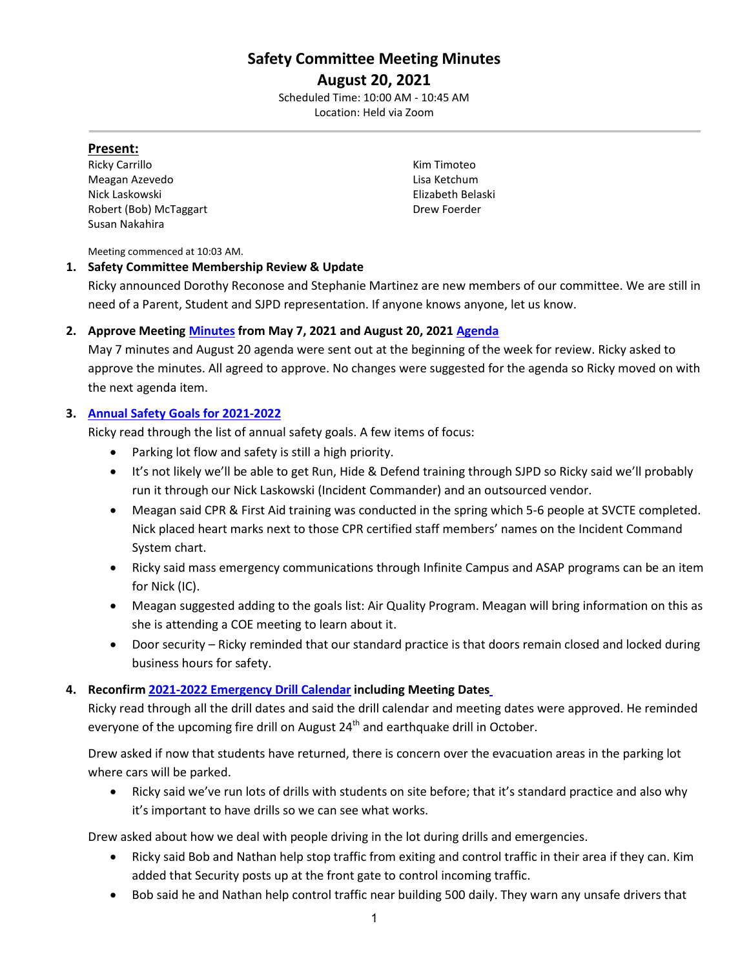# **Safety Committee Meeting Minutes**

### **August 20, 2021** Scheduled Time: 10:00 AM - 10:45 AM Location: Held via Zoom

### **Present:**

Ricky Carrillo **Kim Timoteo** Meagan Azevedo **Lisa Ketchum** Nick Laskowski Elizabeth Belaski Robert (Bob) McTaggart **Drew Foerder Drew Foerder** Susan Nakahira

Meeting commenced at 10:03 AM.

#### **1. Safety Committee Membership Review & Update**

Ricky announced Dorothy Reconose and Stephanie Martinez are new members of our committee. We are still in need of a Parent, Student and SJPD representation. If anyone knows anyone, let us know.

### **2. Approve Meeting [Minutes](https://drive.google.com/file/d/1Gu_SDsEzgLHBv5DwvRAAxqeHDONF5Oye/view?usp=sharing) from May 7, 2021 and August 20, 2021 [Agenda](https://drive.google.com/file/d/15vi8pkGMDXZIvmaNsVzqdGBgIn2YIf9g/view?usp=sharing)**

May 7 minutes and August 20 agenda were sent out at the beginning of the week for review. Ricky asked to approve the minutes. All agreed to approve. No changes were suggested for the agenda so Ricky moved on with the next agenda item.

### **3. [Annual Safety Goals for 2021-2022](https://drive.google.com/file/d/1E8cnCBPNK7J_LXM8LQfQ2zdZV5HAvOoL/view?usp=sharing)**

Ricky read through the list of annual safety goals. A few items of focus:

- Parking lot flow and safety is still a high priority.
- It's not likely we'll be able to get Run, Hide & Defend training through SJPD so Ricky said we'll probably run it through our Nick Laskowski (Incident Commander) and an outsourced vendor.
- Meagan said CPR & First Aid training was conducted in the spring which 5-6 people at SVCTE completed. Nick placed heart marks next to those CPR certified staff members' names on the Incident Command System chart.
- Ricky said mass emergency communications through Infinite Campus and ASAP programs can be an item for Nick (IC).
- Meagan suggested adding to the goals list: Air Quality Program. Meagan will bring information on this as she is attending a COE meeting to learn about it.
- Door security Ricky reminded that our standard practice is that doors remain closed and locked during business hours for safety.

### **4. Reconfir[m 2021-2022 Emergency Drill](https://drive.google.com/file/d/1-IHq5q8p5_sG3SlwTurgrzUEd_hAWijo/view?usp=sharing) Calendar including Meeting Dates**

Ricky read through all the drill dates and said the drill calendar and meeting dates were approved. He reminded everyone of the upcoming fire drill on August  $24<sup>th</sup>$  and earthquake drill in October.

Drew asked if now that students have returned, there is concern over the evacuation areas in the parking lot where cars will be parked.

• Ricky said we've run lots of drills with students on site before; that it's standard practice and also why it's important to have drills so we can see what works.

Drew asked about how we deal with people driving in the lot during drills and emergencies.

- Ricky said Bob and Nathan help stop traffic from exiting and control traffic in their area if they can. Kim added that Security posts up at the front gate to control incoming traffic.
- Bob said he and Nathan help control traffic near building 500 daily. They warn any unsafe drivers that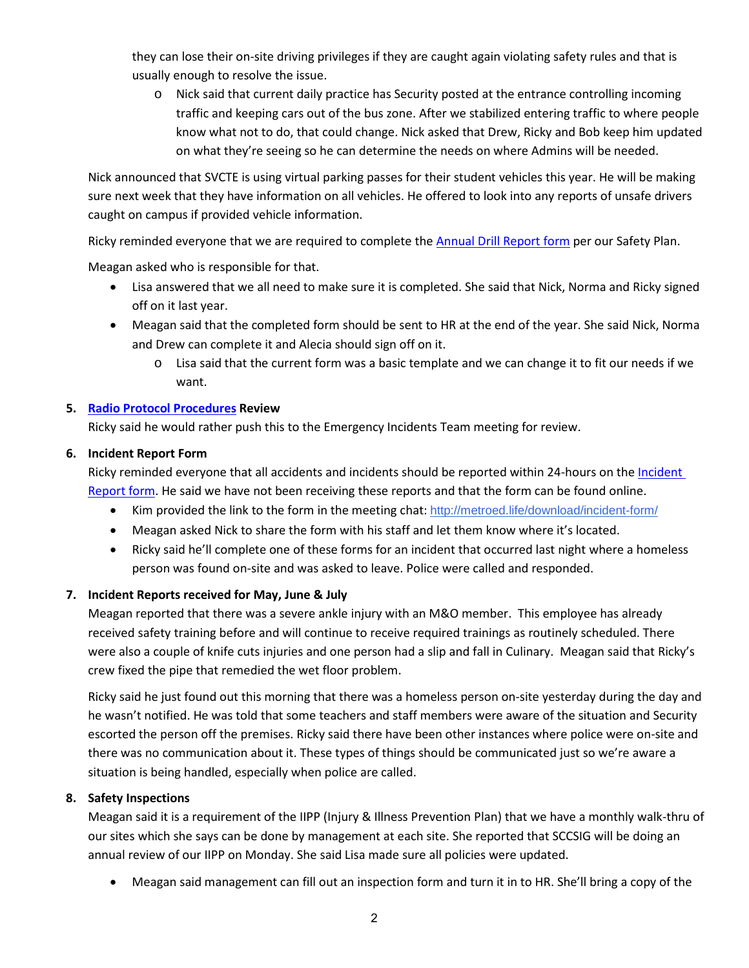they can lose their on-site driving privileges if they are caught again violating safety rules and that is usually enough to resolve the issue.

o Nick said that current daily practice has Security posted at the entrance controlling incoming traffic and keeping cars out of the bus zone. After we stabilized entering traffic to where people know what not to do, that could change. Nick asked that Drew, Ricky and Bob keep him updated on what they're seeing so he can determine the needs on where Admins will be needed.

Nick announced that SVCTE is using virtual parking passes for their student vehicles this year. He will be making sure next week that they have information on all vehicles. He offered to look into any reports of unsafe drivers caught on campus if provided vehicle information.

Ricky reminded everyone that we are required to complete th[e Annual Drill Report form](https://drive.google.com/file/d/1ryWDfoQkOyImk3NNKcNmp6kAlD84i9Nj/view?usp=sharing) per our Safety Plan.

Meagan asked who is responsible for that.

- Lisa answered that we all need to make sure it is completed. She said that Nick, Norma and Ricky signed off on it last year.
- Meagan said that the completed form should be sent to HR at the end of the year. She said Nick, Norma and Drew can complete it and Alecia should sign off on it.
	- o Lisa said that the current form was a basic template and we can change it to fit our needs if we want.

# **5. [Radio Protocol Procedures](https://drive.google.com/file/d/1JWYNhjvkHWtYQOd7TZOjAR_WbSyOqQOf/view?usp=sharing) Review**

Ricky said he would rather push this to the Emergency Incidents Team meeting for review.

# **6. Incident Report Form**

Ricky reminded everyone that all accidents and incidents should be reported within 24-hours on th[e Incident](http://metroed.life/download/incident-form/) [Report form.](http://metroed.life/download/incident-form/) He said we have not been receiving these reports and that the form can be found online.

- Kim provided the link to the form in the meeting chat: <http://metroed.life/download/incident-form/>
- Meagan asked Nick to share the form with his staff and let them know where it's located.
- Ricky said he'll complete one of these forms for an incident that occurred last night where a homeless person was found on-site and was asked to leave. Police were called and responded.

### **7. Incident Reports received for May, June & July**

Meagan reported that there was a severe ankle injury with an M&O member. This employee has already received safety training before and will continue to receive required trainings as routinely scheduled. There were also a couple of knife cuts injuries and one person had a slip and fall in Culinary. Meagan said that Ricky's crew fixed the pipe that remedied the wet floor problem.

Ricky said he just found out this morning that there was a homeless person on-site yesterday during the day and he wasn't notified. He was told that some teachers and staff members were aware of the situation and Security escorted the person off the premises. Ricky said there have been other instances where police were on-site and there was no communication about it. These types of things should be communicated just so we're aware a situation is being handled, especially when police are called.

### **8. Safety Inspections**

Meagan said it is a requirement of the IIPP (Injury & Illness Prevention Plan) that we have a monthly walk-thru of our sites which she says can be done by management at each site. She reported that SCCSIG will be doing an annual review of our IIPP on Monday. She said Lisa made sure all policies were updated.

• Meagan said management can fill out an inspection form and turn it in to HR. She'll bring a copy of the